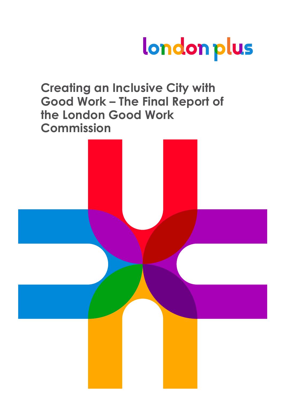# london plus

## **Creating an Inclusive City with Good Work – The Final Report of the London Good Work Commission**

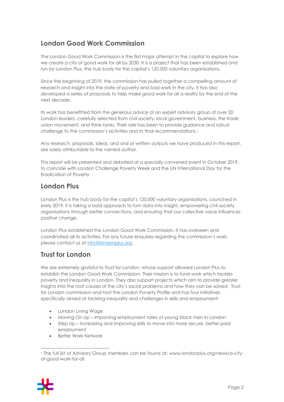## **London Good Work Commission**

The London Good Work Commission is the first major attempt in the capital to explore how we create a city of good work for all by 2030. It is a project that has been established and run by London Plus, the hub body for the capital's 120,000 voluntary organisations.

Since the beginning of 2019, the commission has pulled together a compelling amount of research and insight into the state of poverty and bad work in the city. It has also developed a series of proposals to help make good work for all a reality by the end of the next decade.

Its work has benefitted from the generous advice of an expert advisory group of over 20 London leaders, carefully selected from civil society, local government, business, the trade union movement, and think-tanks. Their role has been to provide guidance and robust challenge to the commission's activities and its final recommendations.<sup>1</sup>

Any research, proposals, ideas, and oral or written outputs we have produced in this report, are solely attributable to the named author.

This report will be presented and debated at a specially convened event in October 2019, to coincide with London Challenge Poverty Week and the UN International Day for the Eradication of Poverty.

## **London Plus**

London Plus is the hub body for the capital's 120,000 voluntary organisations. Launched in early 2019, it is taking a bold approach to turn data into insight, empowering civil society organisations through better connections, and ensuring that our collective voice influences positive change.

London Plus established the London Good Work Commission. It has overseen and coordinated all its activities. For any future enquiries regarding the commission's work, please contact us at info@londonplus.org.

## **Trust for London**

We are extremely grateful to Trust for London, whose support allowed London Plus to establish the London Good Work Commission. Their mission is to fund work which tackles poverty and inequality in London. They also support projects which aim to provide greater insights into the root causes of the city's social problems and how they can be solved. Trust for London commission and host the London Poverty Profile and has four initiatives specifically aimed at tackling inequality and challenges in skills and employment:

- London Living Wage
- Moving On Up improving employment rates of young black men in London
- Step Up increasing and improving skills to move into more secure, better paid employment
- Better Work Network

<sup>1</sup> The full list of Advisory Group members can be found at: www.londonplus.org/news/a-cityof-good-work-for-all

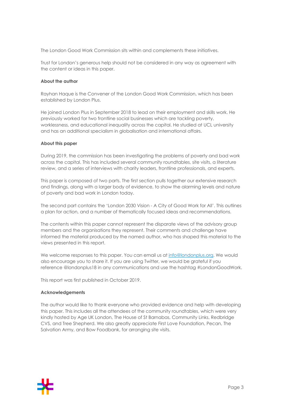The London Good Work Commission sits within and complements these initiatives.

Trust for London's generous help should not be considered in any way as agreement with the content or ideas in this paper.

#### **About the author**

Rayhan Haque is the Convener of the London Good Work Commission, which has been established by London Plus.

He joined London Plus in September 2018 to lead on their employment and skills work. He previously worked for two frontline social businesses which are tackling poverty, worklessness, and educational inequality across the capital. He studied at UCL university and has an additional specialism in globalisation and international affairs.

#### **About this paper**

During 2019, the commission has been investigating the problems of poverty and bad work across the capital. This has included several community roundtables, site visits, a literature review, and a series of interviews with charity leaders, frontline professionals, and experts.

This paper is composed of two parts. The first section pulls together our extensive research and findings, along with a larger body of evidence, to show the alarming levels and nature of poverty and bad work in London today.

The second part contains the 'London 2030 Vision - A City of Good Work for All'. This outlines a plan for action, and a number of thematically focused ideas and recommendations.

The contents within this paper cannot represent the disparate views of the advisory group members and the organisations they represent. Their comments and challenge have informed the material produced by the named author, who has shaped this material to the views presented in this report.

We welcome responses to this paper. You can email us at info@londonplus.org. We would also encourage you to share it. If you are using Twitter, we would be grateful if you reference @londonplus18 in any communications and use the hashtag #LondonGoodWork.

This report was first published in October 2019.

#### **Acknowledgements**

The author would like to thank everyone who provided evidence and help with developing this paper. This includes all the attendees of the community roundtables, which were very kindly hosted by Age UK London, The House of St Barnabas, Community Links, Redbridge CVS, and Tree Shepherd. We also greatly appreciate First Love Foundation, Pecan, The Salvation Army, and Bow Foodbank, for arranging site visits.

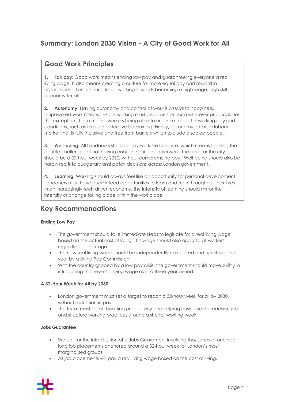## **Summary: London 2030 Vision - A City of Good Work for All**

## **Good Work Principles**

**1. Fair pay**: Good work means ending low pay and guaranteeing everyone a real living wage. It also means creating a culture for more equal pay and reward in organisations. London must keep working towards becoming a high wage, high skill economy for all.

**2. Autonomy:** Having autonomy and control at work is crucial to happiness. Empowered work means flexible working must become the norm wherever practical, not the exception. It also means workers being able to organise for better working pay and conditions, such as through collective bargaining. Finally, autonomy entails a labour market that is fully inclusive and free from barriers which exclude disabled people.

**3. Well-being:** All Londoners should enjoy work-life balance, which means tackling the double challenges of not having enough hours and overwork. The goal for the city should be a 32-hour week by 2030, without compromising pay. Well-being should also be hardwired into budgetary and policy decisions across London government.

**4. Learning:** Working should always feel like an opportunity for personal development. Londoners must have guaranteed opportunities to learn and train throughout their lives. In an increasingly tech driven economy, the intensity of learning should mirror the intensity of change taking place within the workplace.

## **Key Recommendations**

#### **Ending Low Pay**

- The government should take immediate steps to legislate for a real living wage based on the actual cost of living. This wage should also apply to all workers, regardless of their age.
- The new real living wage should be independently calculated and uprated each year by a Living Pay Commission.
- With the country gripped by a low pay crisis, the government should move swiftly in introducing this new real living wage over a three-year period.

#### **A 32-Hour Week for All by 2030**

- London government must set a target to reach a 32-hour week for all by 2030, without reduction in pay.
- The focus must be on boosting productivity and helping businesses to redesign jobs and structure working practices around a shorter working week.

#### **Jobs Guarantee**

- We call for the introduction of a Jobs Guarantee, involving thousands of one-year long job placements anchored around a 32-hour week for London's most marginalised groups.
- All job placements will pay a real living wage based on the cost of living.

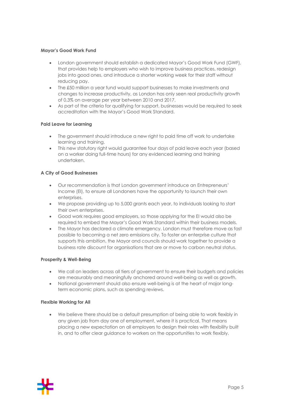#### **Mayor's Good Work Fund**

- London government should establish a dedicated Mayor's Good Work Fund (GWF), that provides help to employers who wish to improve business practices, redesign jobs into good ones, and introduce a shorter working week for their staff without reducing pay.
- The £50 million a year fund would support businesses to make investments and changes to increase productivity, as London has only seen real productivity growth of 0.3% on average per year between 2010 and 2017.
- As part of the criteria for qualifying for support, businesses would be required to seek accreditation with the Mayor's Good Work Standard.

#### **Paid Leave for Learning**

- The government should introduce a new right to paid time off work to undertake learning and training.
- This new statutory right would guarantee four days of paid leave each year (based on a worker doing full-time hours) for any evidenced learning and training undertaken.

#### **A City of Good Businesses**

- Our recommendation is that London government introduce an Entrepreneurs' Income (EI), to ensure all Londoners have the opportunity to launch their own enterprises.
- We propose providing up to 5,000 grants each year, to individuals looking to start their own enterprises.
- Good work requires good employers, so those applying for the EI would also be required to embed the Mayor's Good Work Standard within their business models.
- The Mayor has declared a climate emergency. London must therefore move as fast possible to becoming a net zero emissions city. To foster an enterprise culture that supports this ambition, the Mayor and councils should work together to provide a business rate discount for organisations that are or move to carbon neutral status.

#### **Prosperity & Well-Being**

- We call on leaders across all tiers of government to ensure their budgets and policies are measurably and meaningfully anchored around well-being as well as growth.
- National government should also ensure well-being is at the heart of major longterm economic plans, such as spending reviews.

#### **Flexible Working for All**

• We believe there should be a default presumption of being able to work flexibly in any given job from day one of employment, where it is practical. That means placing a new expectation on all employers to design their roles with flexibility built in, and to offer clear guidance to workers on the opportunities to work flexibly.

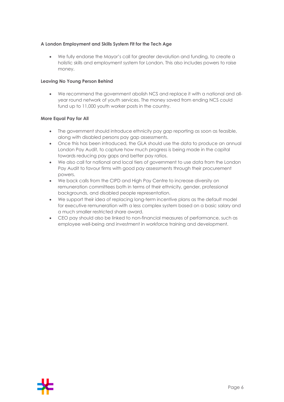#### **A London Employment and Skills System Fit for the Tech Age**

• We fully endorse the Mayor's call for greater devolution and funding, to create a holistic skills and employment system for London. This also includes powers to raise money.

#### **Leaving No Young Person Behind**

• We recommend the government abolish NCS and replace it with a national and allyear round network of youth services. The money saved from ending NCS could fund up to 11,000 youth worker posts in the country.

#### **More Equal Pay for All**

- The government should introduce ethnicity pay gap reporting as soon as feasible, along with disabled persons pay gap assessments.
- Once this has been introduced, the GLA should use the data to produce an annual London Pay Audit, to capture how much progress is being made in the capital towards reducing pay gaps and better pay ratios.
- We also call for national and local tiers of government to use data from the London Pay Audit to favour firms with good pay assessments through their procurement powers.
- We back calls from the CIPD and High Pay Centre to increase diversity on remuneration committees both in terms of their ethnicity, gender, professional backgrounds, and disabled people representation.
- We support their idea of replacing long-term incentive plans as the default model for executive remuneration with a less complex system based on a basic salary and a much smaller restricted share award.
- CEO pay should also be linked to non-financial measures of performance, such as employee well-being and investment in workforce training and development.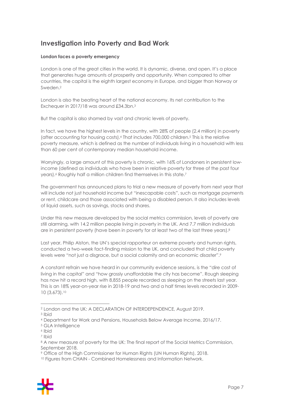## **Investigation into Poverty and Bad Work**

#### **London faces a poverty emergency**

London is one of the great cities in the world. It is dynamic, diverse, and open. It's a place that generates huge amounts of prosperity and opportunity. When compared to other countries, the capital is the eighth largest economy in Europe, and bigger than Norway or Sweden.2

London is also the beating heart of the national economy. Its net contribution to the Exchequer in 2017/18 was around £34.3bn.3

But the capital is also shamed by vast and chronic levels of poverty.

In fact, we have the highest levels in the country, with 28% of people (2.4 million) in poverty (after accounting for housing costs).4 That includes 700,000 children.5 This is the relative poverty measure, which is defined as the number of individuals living in a household with less than 60 per cent of contemporary median household income.

Worryingly, a large amount of this poverty is chronic, with 16% of Londoners in persistent lowincome (defined as individuals who have been in relative poverty for three of the past four years).<sup>6</sup> Roughly half a million children find themselves in this state.<sup>7</sup>

The government has announced plans to trial a new measure of poverty from next year that will include not just household income but "inescapable costs", such as mortgage payments or rent, childcare and those associated with being a disabled person. It also includes levels of liquid assets, such as savings, stocks and shares.

Under this new measure developed by the social metrics commission, levels of poverty are still alarming, with 14.2 million people living in poverty in the UK. And 7.7 million individuals are in persistent poverty (have been in poverty for at least two of the last three years).8

Last year, Philip Alston, the UN's special rapporteur on extreme poverty and human rights, conducted a two-week fact-finding mission to the UK, and concluded that child poverty levels were "not just a disgrace, but a social calamity and an economic disaster".9

A constant refrain we have heard in our community evidence sessions, is the "dire cost of living in the capital" and "how grossly unaffordable the city has become". Rough sleeping has now hit a record high, with 8,855 people recorded as sleeping on the streets last year. This is an 18% year-on-year rise in 2018-19 and two and a half times levels recorded in 2009- 10 (3,673).10

<sup>&</sup>lt;sup>10</sup> Figures from CHAIN - Combined Homelessness and Information Network.



<sup>2</sup> London and the UK: A DECLARATION OF INTERDEPENDENCE, August 2019.

<sup>3</sup> Ibid

<sup>4</sup> Department for Work and Pensions, Households Below Average Income, 2016/17.

<sup>5</sup> GLA Intelligence

<sup>6</sup> Ibid

<sup>7</sup> Ibid

<sup>&</sup>lt;sup>8</sup> A new measure of poverty for the UK: The final report of the Social Metrics Commission, September 2018.

<sup>9</sup> Office of the High Commissioner for Human Rights (UN Human Rights), 2018.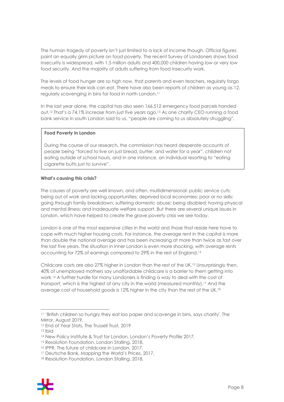The human tragedy of poverty isn't just limited to a lack of income though. Official figures paint an equally grim picture on food poverty. The recent Survey of Londoners shows food insecurity is widespread, with 1.5 million adults and 400,000 children having low or very low food security. And the majority of adults suffering from food insecurity work.

The levels of food hunger are so high now, that parents and even teachers, regularly forgo meals to ensure their kids can eat. There have also been reports of children as young as 12, regularly scavenging in bins for food in north London.11

In the last year alone, the capital has also seen 166,512 emergency food parcels handed out.12 That's a 74.1% increase from just five years ago.13 As one charity CEO running a food bank service in south London said to us, "people are coming to us absolutely struggling".

#### **Food Poverty in London**

During the course of our research, the commission has heard desperate accounts of people being "forced to live on just bread, butter, and water for a year", children not eating outside of school hours, and in one instance, an individual resorting to "eating cigarette butts just to survive".

#### **What's causing this crisis?**

The causes of poverty are well known, and often, multidimensional: public service cuts; being out of work and lacking opportunities; deprived local economies; poor or no skills; going through family breakdown; suffering domestic abuse; being disabled; having physical and mental illness; and inadequate welfare support. But there are several unique issues in London, which have helped to create the grave poverty crisis we see today.

London is one of the most expensive cities in the world and those that reside here have to cope with much higher housing costs. For instance, the average rent in the capital is more than double the national average and has been increasing at more than twice as fast over the last five years. The situation in inner London is even more shocking, with average rents accounting for 72% of earnings compared to 29% in the rest of England.14

Childcare costs are also 27% higher in London than the rest of the UK.15 Unsurprisingly then, 40% of unemployed mothers say unaffordable childcare is a barrier to them getting into work.16 A further hurdle for many Londoners is finding a way to deal with the cost of transport, which is the highest of any city in the world (measured monthly).17 And the average cost of household goods is 12% higher in the city than the rest of the UK.18

<sup>18</sup> Resolution Foundation, London Stalling, 2018.



<sup>&</sup>lt;sup>11</sup> 'British children so hungry they eat loo paper and scavenge in bins, says charity'. The Mirror, August 2019.

<sup>&</sup>lt;sup>12</sup> End of Year Stats, The Trussell Trust, 2019

<sup>13</sup> Ibid

<sup>14</sup> New Policy Institute & Trust for London, London's Poverty Profile 2017.

<sup>&</sup>lt;sup>15</sup> Resolution Foundation, London Stalling, 2018.

<sup>16</sup> IPPR, The future of childcare in London, 2017.

<sup>&</sup>lt;sup>17</sup> Deutsche Bank, Mapping the World's Prices, 2017.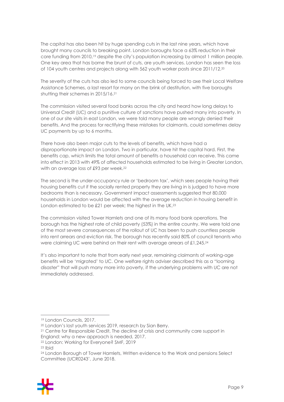The capital has also been hit by huge spending cuts in the last nine years, which have brought many councils to breaking point. London boroughs face a 63% reduction in their core funding from 2010,19 despite the city's population increasing by almost 1 million people. One key area that has borne the brunt of cuts, are youth services. London has seen the loss of 104 youth centres and projects along with 562 youth worker posts since 2011/12.20

The severity of the cuts has also led to some councils being forced to axe their Local Welfare Assistance Schemes, a last resort for many on the brink of destitution, with five boroughs shutting their schemes in 2015/16.21

The commission visited several food banks across the city and heard how long delays to Universal Credit (UC) and a punitive culture of sanctions have pushed many into poverty. In one of our site visits in east London, we were told many people are wrongly denied their benefits. And the process for rectifying these mistakes for claimants, could sometimes delay UC payments by up to 6 months.

There have also been major cuts to the levels of benefits, which have had a disproportionate impact on London. Two in particular, have hit the capital hard. First, the benefits cap, which limits the total amount of benefits a household can receive. This came into effect in 2013 with 49% of affected households estimated to be living in Greater London, with an average loss of £93 per week.<sup>22</sup>

The second is the under-occupancy rule or 'bedroom tax', which sees people having their housing benefits cut if the socially rented property they are living in is judged to have more bedrooms than is necessary. Government impact assessments suggested that 80,000 households in London would be affected with the average reduction in housing benefit in London estimated to be £21 per week; the highest in the UK.<sup>23</sup>

The commission visited Tower Hamlets and one of its many food bank operations. The borough has the highest rate of child poverty (53%) in the entire country. We were told one of the most severe consequences of the rollout of UC has been to push countless people into rent arrears and eviction risk. The borough has recently said 80% of council tenants who were claiming UC were behind on their rent with average arrears of £1,245.24

It's also important to note that from early next year, remaining claimants of working-age benefits will be 'migrated' to UC. One welfare rights adviser described this as a "looming disaster" that will push many more into poverty, if the underlying problems with UC are not immediately addressed.

<sup>24</sup> London Borough of Tower Hamlets, Written evidence to the Work and pensions Select Committee (UCR0243', June 2018.



<sup>19</sup> London Councils, 2017.

<sup>20</sup> London's lost youth services 2019, research by Sian Berry.

<sup>&</sup>lt;sup>21</sup> Centre for Responsible Credit, The decline of crisis and community care support in England: why a new approach is needed, 2017.

<sup>22</sup> London: Working for Everyone? SMF, 2019

<sup>23</sup> Ibid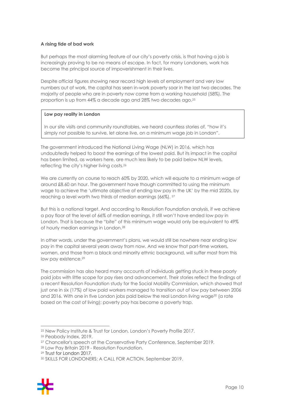#### **A rising tide of bad work**

But perhaps the most alarming feature of our city's poverty crisis, is that having a job is increasingly proving to be no means of escape. In fact, for many Londoners, work has become the principal source of impoverishment in their lives.

Despite official figures showing near record high levels of employment and very low numbers out of work, the capital has seen in-work poverty soar in the last two decades. The majority of people who are in poverty now come from a working household (58%). The proportion is up from 44% a decade ago and 28% two decades ago.25

#### **Low pay reality in London**

In our site visits and community roundtables, we heard countless stories of, "how it's simply not possible to survive, let alone live, on a minimum wage job in London".

The government introduced the National Living Wage (NLW) in 2016, which has undoubtedly helped to boost the earnings of the lowest paid. But its impact in the capital has been limited, as workers here, are much less likely to be paid below NLW levels, reflecting the city's higher living costs.26

We are currently on course to reach 60% by 2020, which will equate to a minimum wage of around £8.60 an hour. The government have though committed to using the minimum wage to achieve the 'ultimate objective of ending low pay in the UK' by the mid 2020s, by reaching a level worth two thirds of median earnings (66%). 27

But this is a national target. And according to Resolution Foundation analysis, if we achieve a pay floor at the level of 66% of median earnings, it still won't have ended low pay in London. That is because the "bite" of this minimum wage would only be equivalent to 49% of hourly median earnings in London.28

In other words, under the government's plans, we would still be nowhere near ending low pay in the capital several years away from now. And we know that part-time workers, women, and those from a black and minority ethnic background, will suffer most from this low pay existence.<sup>29</sup>

The commission has also heard many accounts of individuals getting stuck in these poorly paid jobs with little scope for pay rises and advancement. Their stories reflect the findings of a recent Resolution Foundation study for the Social Mobility Commission, which showed that just one in six (17%) of low paid workers managed to transition out of low pay between 2006 and 2016. With one in five London jobs paid below the real London living wage<sup>30</sup> (a rate based on the cost of living); poverty pay has become a poverty trap.

<sup>30</sup> SKILLS FOR LONDONERS: A CALL FOR ACTION, September 2019.



<sup>25</sup> New Policy Institute & Trust for London, London's Poverty Profile 2017.

<sup>26</sup> Peabody Index, 2019.

<sup>&</sup>lt;sup>27</sup> Chancellor's speech at the Conservative Party Conference, September 2019.

<sup>28</sup> Low Pay Britain 2019 - Resolution Foundation.

<sup>29</sup> Trust for London 2017.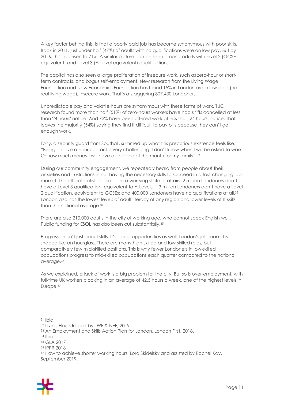A key factor behind this, is that a poorly paid job has become synonymous with poor skills. Back in 2011, just under half (47%) of adults with no qualifications were on low pay. But by 2016, this had risen to 71%. A similar picture can be seen among adults with level 2 (GCSE equivalent) and Level 3 (A-Level equivalent) qualifications.31

The capital has also seen a large proliferation of insecure work, such as zero-hour or shortterm contracts, and bogus self-employment. New research from the Living Wage Foundation and New Economics Foundation has found 15% in London are in low paid (not real living wage), insecure work. That's a staggering 807,430 Londoners.

Unpredictable pay and volatile hours are synonymous with these forms of work. TUC research found more than half (51%) of zero-hours workers have had shifts cancelled at less than 24 hours' notice. And 73% have been offered work at less than 24 hours' notice. That leaves the majority (54%) saying they find it difficult to pay bills because they can't get enough work.

Tony, a security guard from Southall, summed up what this precarious existence feels like, "Being on a zero-hour contact is very challenging. I don't know when I will be asked to work. Or how much money I will have at the end of the month for my family".32

During our community engagement, we repeatedly heard from people about their anxieties and frustrations in not having the necessary skills to succeed in a fast-changing job market. The official statistics also paint a worrying state of affairs. 2 million Londoners don't have a Level 3 qualification, equivalent to A-Levels; 1.3 million Londoners don't have a Level 2 qualification, equivalent to GCSEs; and 400,000 Londoners have no qualifications at all.33 London also has the lowest levels of adult literacy of any region and lower levels of IT skills than the national average.34

There are also 210,000 adults in the city of working age, who cannot speak English well. Public funding for ESOL has also been cut substantially.<sup>35</sup>

Progression isn't just about skills. It's about opportunities as well. London's job market is shaped like an hourglass. There are many high-skilled and low-skilled roles, but comparatively few mid-skilled positions. This is why fewer Londoners in low-skilled occupations progress to mid-skilled occupations each quarter compared to the national average.36

As we explained, a lack of work is a big problem for the city. But so is over-employment, with full-time UK workers clocking in an average of 42.5 hours a week, one of the highest levels in Europe.37

<sup>37</sup> How to achieve shorter working hours, Lord Skidelsky and assisted by Rachel Kay, September 2019.



<sup>31</sup> Ibid

<sup>32</sup> Living Hours Report by LWF & NEF, 2019

<sup>&</sup>lt;sup>33</sup> An Employment and Skills Action Plan for London, London First, 2018.

<sup>34</sup> Ibid

<sup>35</sup> GLA 2017

<sup>36</sup> IPPR 2016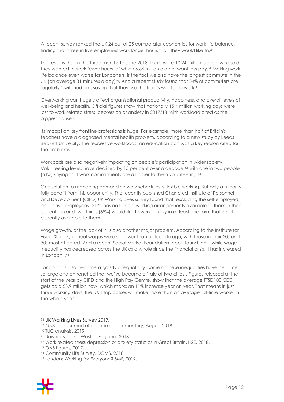A recent survey ranked the UK 24 out of 25 comparator economies for work-life balance, finding that three in five employees work longer hours than they would like to.38

The result is that in the three months to June 2018, there were 10.24 million people who said they wanted to work fewer hours, of which 6.66 million did not want less pay.39 Making worklife balance even worse for Londoners, is the fact we also have the longest commute in the UK (on average 81 minutes a day)<sup>40</sup>. And a recent study found that 54% of commuters are regularly 'switched on', saying that they use the train's wi-fi to do work.41

Overworking can hugely affect organisational productivity, happiness, and overall levels of well-being and health. Official figures show that nationally 15.4 million working days were lost to work-related stress, depression or anxiety in 2017/18, with workload cited as the biggest cause.42

Its impact on key frontline professions is huge. For example, more than half of Britain's teachers have a diagnosed mental health problem, according to a new study by Leeds Beckett University. The 'excessive workloads' on education staff was a key reason cited for the problems.

Workloads are also negatively impacting on people's participation in wider society. Volunteering levels have declined by 15 per cent over a decade,43 with one in two people (51%) saying that work commitments are a barrier to them volunteering.44

One solution to managing demanding work schedules is flexible working. But only a minority fully benefit from this opportunity. The recently published Chartered Institute of Personnel and Development (CIPD) UK Working Lives survey found that, excluding the self-employed, one in five employees (21%) has no flexible working arrangements available to them in their current job and two-thirds (68%) would like to work flexibly in at least one form that is not currently available to them.

Wage growth, or the lack of it, is also another major problem. According to the Institute for Fiscal Studies, annual wages were still lower than a decade ago, with those in their 20s and 30s most affected. And a recent Social Market Foundation report found that "while wage inequality has decreased across the UK as a whole since the financial crisis, it has increased in London".45

London has also become a grossly unequal city. Some of these inequalities have become so large and entrenched that we've become a 'tale of two cities'. Figures released at the start of the year by CIPD and the High Pay Centre, show that the average FTSE 100 CEO, gets paid £3.9 million now, which marks an 11% increase year on year. That means in just three working days, the UK's top bosses will make more than an average full-time worker in the whole year.

<sup>45</sup> London: Working for Everyone? SMF, 2019.



<sup>38</sup> UK Working Lives Survey 2019.

<sup>39</sup> ONS: Labour market economic commentary, August 2018.

<sup>40</sup> TUC analysis, 2019.

<sup>41</sup> University of the West of England, 2018.

<sup>42</sup> Work related stress depression or anxiety statistics in Great Britain, HSE, 2018.

<sup>43</sup> ONS figures, 2017.

<sup>44</sup> Community Life Survey, DCMS, 2018.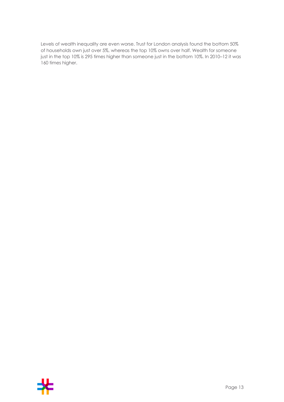Levels of wealth inequality are even worse. Trust for London analysis found the bottom 50% of households own just over 5%, whereas the top 10% owns over half. Wealth for someone just in the top 10% is 295 times higher than someone just in the bottom 10%. In 2010–12 it was 160 times higher.

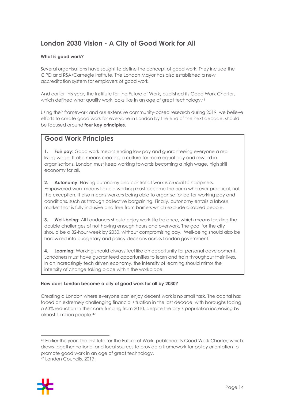## **London 2030 Vision - A City of Good Work for All**

#### **What is good work?**

Several organisations have sought to define the concept of good work. They include the CIPD and RSA/Carnegie Institute. The London Mayor has also established a new accreditation system for employers of good work.

And earlier this year, the Institute for the Future of Work, published its Good Work Charter, which defined what quality work looks like in an age of great technology.<sup>46</sup>

Using their framework and our extensive community-based research during 2019, we believe efforts to create good work for everyone in London by the end of the next decade, should be focused around **four key principles**.

## **Good Work Principles**

**1. Fair pay**: Good work means ending low pay and guaranteeing everyone a real living wage. It also means creating a culture for more equal pay and reward in organisations. London must keep working towards becoming a high wage, high skill economy for all.

**2. Autonomy:** Having autonomy and control at work is crucial to happiness. Empowered work means flexible working must become the norm wherever practical, not the exception. It also means workers being able to organise for better working pay and conditions, such as through collective bargaining. Finally, autonomy entails a labour market that is fully inclusive and free from barriers which exclude disabled people.

**3. Well-being:** All Londoners should enjoy work-life balance, which means tackling the double challenges of not having enough hours and overwork. The goal for the city should be a 32-hour week by 2030, without compromising pay. Well-being should also be hardwired into budgetary and policy decisions across London government.

**4. Learning:** Working should always feel like an opportunity for personal development. Londoners must have guaranteed opportunities to learn and train throughout their lives. In an increasingly tech driven economy, the intensity of learning should mirror the intensity of change taking place within the workplace.

#### **How does London become a city of good work for all by 2030?**

Creating a London where everyone can enjoy decent work is no small task. The capital has faced an extremely challenging financial situation in the last decade, with boroughs facing a 63% reduction in their core funding from 2010, despite the city's population increasing by almost 1 million people.47

<sup>47</sup> London Councils, 2017.



<sup>46</sup> Earlier this year, the Institute for the Future of Work, published its Good Work Charter, which draws together national and local sources to provide a framework for policy orientation to promote good work in an age of great technology.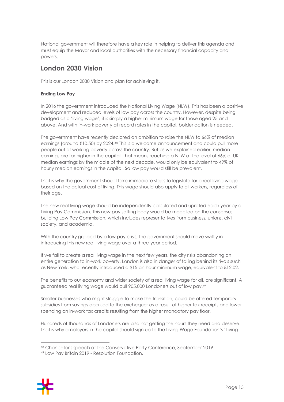National government will therefore have a key role in helping to deliver this agenda and must equip the Mayor and local authorities with the necessary financial capacity and powers.

## **London 2030 Vision**

This is our London 2030 Vision and plan for achieving it.

#### **Ending Low Pay**

In 2016 the government introduced the National Living Wage (NLW). This has been a positive development and reduced levels of low pay across the country. However, despite being badged as a 'living wage', it is simply a higher minimum wage for those aged 25 and above. And with in-work poverty at record rates in the capital, bolder action is needed.

The government have recently declared an ambition to raise the NLW to 66% of median earnings (around £10.50) by 2024.48 This is a welcome announcement and could pull more people out of working poverty across the country. But as we explained earlier, median earnings are far higher in the capital. That means reaching a NLW at the level of 66% of UK median earnings by the middle of the next decade, would only be equivalent to 49% of hourly median earnings in the capital. So low pay would still be prevalent.

That is why the government should take immediate steps to legislate for a real living wage based on the actual cost of living. This wage should also apply to all workers, regardless of their age.

The new real living wage should be independently calculated and uprated each year by a Living Pay Commission. This new pay setting body would be modelled on the consensus building Low Pay Commission, which includes representatives from business, unions, civil society, and academia.

With the country gripped by a low pay crisis, the government should move swiftly in introducing this new real living wage over a three-year period.

If we fail to create a real living wage in the next few years, the city risks abandoning an entire generation to in-work poverty. London is also in danger of falling behind its rivals such as New York, who recently introduced a \$15 an hour minimum wage, equivalent to £12.02.

The benefits to our economy and wider society of a real living wage for all, are significant. A guaranteed real living wage would pull 905,000 Londoners out of low pay.49

Smaller businesses who might struggle to make the transition, could be offered temporary subsidies from savings accrued to the exchequer as a result of higher tax receipts and lower spending on in-work tax credits resulting from the higher mandatory pay floor.

Hundreds of thousands of Londoners are also not getting the hours they need and deserve. That is why employers in the capital should sign up to the Living Wage Foundation's 'Living



<sup>48</sup> Chancellor's speech at the Conservative Party Conference, September 2019.

<sup>49</sup> Low Pay Britain 2019 - Resolution Foundation.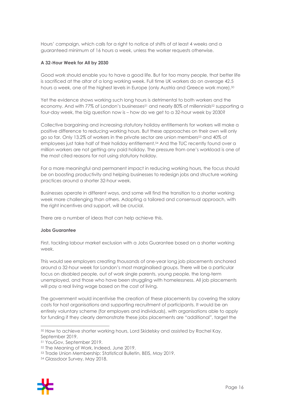Hours' campaign, which calls for a right to notice of shifts of at least 4 weeks and a guaranteed minimum of 16 hours a week, unless the worker requests otherwise.

#### **A 32-Hour Week for All by 2030**

Good work should enable you to have a good life. But for too many people, that better life is sacrificed at the altar of a long working week. Full time UK workers do on average 42.5 hours a week, one of the highest levels in Europe (only Austria and Greece work more).<sup>50</sup>

Yet the evidence shows working such long hours is detrimental to both workers and the economy. And with 77% of London's businesses<sup>51</sup> and nearly 80% of millennials<sup>52</sup> supporting a four-day week, the big question now is – how do we get to a 32-hour week by 2030?

Collective bargaining and increasing statutory holiday entitlements for workers will make a positive difference to reducing working hours. But these approaches on their own will only go so far. Only 13.2% of workers in the private sector are union members53 and 40% of employees just take half of their holiday entitlement.54 And the TUC recently found over a million workers are not getting any paid holiday. The pressure from one's workload is one of the most cited reasons for not using statutory holiday.

For a more meaningful and permanent impact in reducing working hours, the focus should be on boosting productivity and helping businesses to redesign jobs and structure working practices around a shorter 32-hour week.

Businesses operate in different ways, and some will find the transition to a shorter working week more challenging than others. Adopting a tailored and consensual approach, with the right incentives and support, will be crucial.

There are a number of ideas that can help achieve this.

#### **Jobs Guarantee**

First, tackling labour market exclusion with a Jobs Guarantee based on a shorter working week.

This would see employers creating thousands of one-year long job placements anchored around a 32-hour week for London's most marginalised groups. There will be a particular focus on disabled people, out of work single parents, young people, the long-term unemployed, and those who have been struggling with homelessness. All job placements will pay a real living wage based on the cost of living.

The government would incentivise the creation of these placements by covering the salary costs for host organisations and supporting recruitment of participants. It would be an entirely voluntary scheme (for employers and individuals), with organisations able to apply for funding if they clearly demonstrate these jobs placements are "additional", target the

<sup>54</sup> Glassdoor Survey, May 2018.



<sup>50</sup> How to achieve shorter working hours, Lord Skidelsky and assisted by Rachel Kay, September 2019.

<sup>51</sup> YouGov, September 2019.

<sup>52</sup> The Meaning of Work, Indeed, June 2019.

<sup>53</sup> Trade Union Membership: Statistical Bulletin, BEIS, May 2019.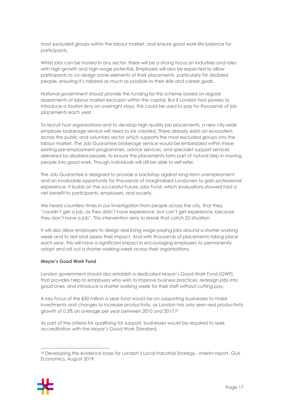most excluded groups within the labour market, and ensure good work-life balance for participants.

Whilst jobs can be hosted in any sector, there will be a strong focus on industries and roles with high growth and high wage potential. Employers will also be expected to allow participants to co-design some elements of their placements, particularly for disabled people, ensuring it's tailored as much as possible to their skills and career goals.

National government should provide the funding for this scheme based on regular assessments of labour market exclusion within the capital. But if London had powers to introduce a tourism levy on overnight stays, this could be used to pay for thousands of job placements each year.

To recruit host organisations and to develop high quality job placements, a new city-wide employer brokerage service will need to be created. There already exists an ecosystem across the public and voluntary sector which supports the most excluded groups into the labour market. The Job Guarantee brokerage service would be embedded within these existing pre-employment programmes, advice services, and specialist support services delivered by disabled people, to ensure the placements form part of natural step in moving people into good work. Though individuals will still be able to self-refer.

The Job Guarantee is designed to provide a backstop against long-term unemployment and an invaluable opportunity for thousands of marginalised Londoners to gain professional experience. It builds on the successful Future Jobs Fund, which evaluations showed had a net benefit to participants, employers, and society.

We heard countless times in our investigation from people across the city, that they "couldn't get a job, as they didn't have experience, but can't get experience, because they don't have a job". This intervention aims to break that catch 22 situation.

It will also allow employers to design real living wage paying jobs around a shorter working week and to test and assess their impact. And with thousands of placements taking place each year, this will have a significant impact in encouraging employers to permanently adopt and roll out a shorter working week across their organisations.

#### **Mayor's Good Work Fund**

London government should also establish a dedicated Mayor's Good Work Fund (GWF), that provides help to employers who wish to improve business practices, redesign jobs into good ones, and introduce a shorter working week for their staff without cutting pay.

A key focus of the £50 million a year fund would be on supporting businesses to make investments and changes to increase productivity, as London has only seen real productivity growth of 0.3% on average per year between 2010 and 2017.55

As part of the criteria for qualifying for support, businesses would be required to seek accreditation with the Mayor's Good Work Standard.

<sup>55</sup> Developing the evidence base for London's Local Industrial Strategy - Interim report, GLA Economics, August 2019.

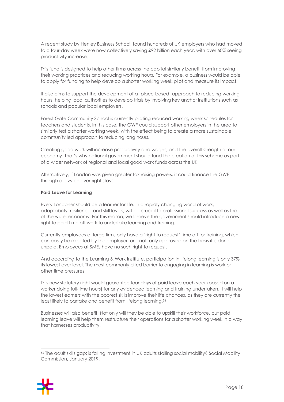A recent study by Henley Business School, found hundreds of UK employers who had moved to a four-day week were now collectively saving £92 billion each year, with over 60% seeing productivity increase.

This fund is designed to help other firms across the capital similarly benefit from improving their working practices and reducing working hours. For example, a business would be able to apply for funding to help develop a shorter working week pilot and measure its impact.

It also aims to support the development of a 'place-based' approach to reducing working hours, helping local authorities to develop trials by involving key anchor institutions such as schools and popular local employers.

Forest Gate Community School is currently piloting reduced working week schedules for teachers and students. In this case, the GWF could support other employers in the area to similarly test a shorter working week, with the effect being to create a more sustainable community led approach to reducing long hours.

Creating good work will increase productivity and wages, and the overall strength of our economy. That's why national government should fund the creation of this scheme as part of a wider network of regional and local good work funds across the UK.

Alternatively, if London was given greater tax raising powers, it could finance the GWF through a levy on overnight stays.

#### **Paid Leave for Learning**

Every Londoner should be a learner for life. In a rapidly changing world of work, adaptability, resilience, and skill levels, will be crucial to professional success as well as that of the wider economy. For this reason, we believe the government should introduce a new right to paid time off work to undertake learning and training.

Currently employees at large firms only have a 'right to request' time off for training, which can easily be rejected by the employer, or if not, only approved on the basis it is done unpaid. Employees at SMEs have no such right to request.

And according to the Learning & Work Institute, participation in lifelong learning is only 37%, its lowest ever level. The most commonly cited barrier to engaging in learning is work or other time pressures

This new statutory right would guarantee four days of paid leave each year (based on a worker doing full-time hours) for any evidenced learning and training undertaken. It will help the lowest earners with the poorest skills improve their life chances, as they are currently the least likely to partake and benefit from lifelong learning.<sup>56</sup>

Businesses will also benefit. Not only will they be able to upskill their workforce, but paid learning leave will help them restructure their operations for a shorter working week in a way that harnesses productivity.

<sup>56</sup> The adult skills gap: is falling investment in UK adults stalling social mobility? Social Mobility Commission, January 2019.

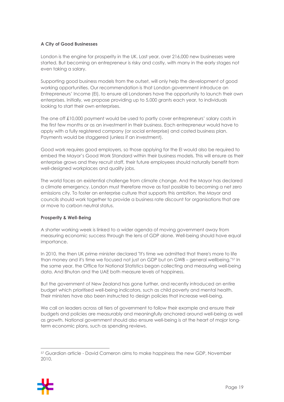#### **A City of Good Businesses**

London is the engine for prosperity in the UK. Last year, over 216,000 new businesses were started. But becoming an entrepreneur is risky and costly, with many in the early stages not even taking a salary.

Supporting good business models from the outset, will only help the development of good working opportunities. Our recommendation is that London government introduce an Entrepreneurs' Income (EI), to ensure all Londoners have the opportunity to launch their own enterprises. Initially, we propose providing up to 5,000 grants each year, to individuals looking to start their own enterprises.

The one off £10,000 payment would be used to partly cover entrepreneurs' salary costs in the first few months or as an investment in their business. Each entrepreneur would have to apply with a fully registered company (or social enterprise) and costed business plan. Payments would be staggered (unless if an investment).

Good work requires good employers, so those applying for the EI would also be required to embed the Mayor's Good Work Standard within their business models. This will ensure as their enterprise grows and they recruit staff, their future employees should naturally benefit from well-designed workplaces and quality jobs.

The world faces an existential challenge from climate change. And the Mayor has declared a climate emergency. London must therefore move as fast possible to becoming a net zero emissions city. To foster an enterprise culture that supports this ambition, the Mayor and councils should work together to provide a business rate discount for organisations that are or move to carbon neutral status.

#### **Prosperity & Well-Being**

A shorter working week is linked to a wider agenda of moving government away from measuring economic success through the lens of GDP alone. Well-being should have equal importance.

In 2010, the then UK prime minister declared "It's time we admitted that there's more to life than money and it's time we focused not just on GDP but on GWB – general wellbeing."57 In the same year, the Office for National Statistics began collecting and measuring well-being data. And Bhutan and the UAE both measure levels of happiness.

But the government of New Zealand has gone further, and recently introduced an entire budget which prioritised well-being indicators, such as child poverty and mental health. Their ministers have also been instructed to design policies that increase well-being.

We call on leaders across all tiers of government to follow their example and ensure their budgets and policies are measurably and meaningfully anchored around well-being as well as growth. National government should also ensure well-being is at the heart of major longterm economic plans, such as spending reviews.

<sup>57</sup> Guardian article - David Cameron aims to make happiness the new GDP, November 2010.

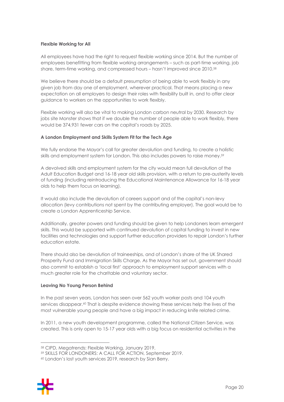#### **Flexible Working for All**

All employees have had the right to request flexible working since 2014. But the number of employees benefitting from flexible working arrangements – such as part-time working, job share, term-time working, and compressed hours – hasn't improved since 2010.<sup>58</sup>

We believe there should be a default presumption of being able to work flexibly in any given job from day one of employment, wherever practical. That means placing a new expectation on all employers to design their roles with flexibility built in, and to offer clear guidance to workers on the opportunities to work flexibly.

Flexible working will also be vital to making London carbon neutral by 2030. Research by jobs site Monster shows that if we double the number of people able to work flexibly, there would be 374,931 fewer cars on the capital's roads by 2025.

#### **A London Employment and Skills System Fit for the Tech Age**

We fully endorse the Mayor's call for greater devolution and funding, to create a holistic skills and employment system for London. This also includes powers to raise money.59

A devolved skills and employment system for the city would mean full devolution of the Adult Education Budget and 16-18 year old skills provision, with a return to pre-austerity levels of funding (including reintroducing the Educational Maintenance Allowance for 16-18 year olds to help them focus on learning).

It would also include the devolution of careers support and of the capital's non-levy allocation (levy contributions not spent by the contributing employer). The goal would be to create a London Apprenticeship Service.

Additionally, greater powers and funding should be given to help Londoners learn emergent skills. This would be supported with continued devolution of capital funding to invest in new facilities and technologies and support further education providers to repair London's further education estate.

There should also be devolution of traineeships, and of London's share of the UK Shared Prosperity Fund and Immigration Skills Charge. As the Mayor has set out, government should also commit to establish a 'local first' approach to employment support services with a much greater role for the charitable and voluntary sector.

#### **Leaving No Young Person Behind**

In the past seven years, London has seen over 562 youth worker posts and 104 youth services disappear.<sup>60</sup> That is despite evidence showing these services help the lives of the most vulnerable young people and have a big impact in reducing knife related crime.

In 2011, a new youth development programme, called the National Citizen Service, was created. This is only open to 15-17 year olds with a big focus on residential activities in the

<sup>60</sup> London's lost youth services 2019, research by Sian Berry.



<sup>58</sup> CIPD, Megatrends: Flexible Working, January 2019.

<sup>59</sup> SKILLS FOR LONDONERS: A CALL FOR ACTION, September 2019.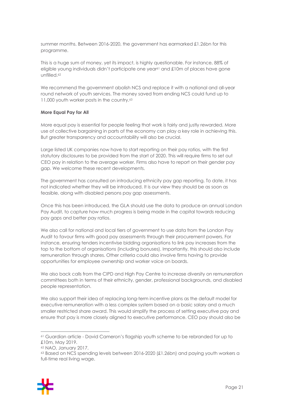summer months. Between 2016-2020, the government has earmarked £1.26bn for this programme.

This is a huge sum of money, yet its impact, is highly questionable. For instance, 88% of eligible young individuals didn't participate one year<sup>61</sup> and £10m of places have gone unfilled.<sup>62</sup>

We recommend the government abolish NCS and replace it with a national and all-year round network of youth services. The money saved from ending NCS could fund up to 11,000 youth worker posts in the country.63

#### **More Equal Pay for All**

More equal pay is essential for people feeling that work is fairly and justly rewarded. More use of collective bargaining in parts of the economy can play a key role in achieving this. But greater transparency and accountability will also be crucial.

Large listed UK companies now have to start reporting on their pay ratios, with the first statutory disclosures to be provided from the start of 2020. This will require firms to set out CEO pay in relation to the average worker. Firms also have to report on their gender pay gap. We welcome these recent developments.

The government has consulted on introducing ethnicity pay gap reporting. To date, it has not indicated whether they will be introduced. It is our view they should be as soon as feasible, along with disabled persons pay gap assessments.

Once this has been introduced, the GLA should use the data to produce an annual London Pay Audit, to capture how much progress is being made in the capital towards reducing pay gaps and better pay ratios.

We also call for national and local tiers of government to use data from the London Pay Audit to favour firms with good pay assessments through their procurement powers. For instance, ensuring tenders incentivise bidding organisations to link pay increases from the top to the bottom of organisations (including bonuses). Importantly, this should also include remuneration through shares. Other criteria could also involve firms having to provide opportunities for employee ownership and worker voice on boards.

We also back calls from the CIPD and High Pay Centre to increase diversity on remuneration committees both in terms of their ethnicity, gender, professional backgrounds, and disabled people representation.

We also support their idea of replacing long-term incentive plans as the default model for executive remuneration with a less complex system based on a basic salary and a much smaller restricted share award. This would simplify the process of setting executive pay and ensure that pay is more closely aligned to executive performance. CEO pay should also be

<sup>63</sup> Based on NCS spending levels between 2016-2020 (£1.26bn) and paying youth workers a full-time real living wage.



<sup>61</sup> Guardian article - David Cameron's flagship youth scheme to be rebranded for up to £10m, May 2019.

<sup>62</sup> NAO, January 2017.